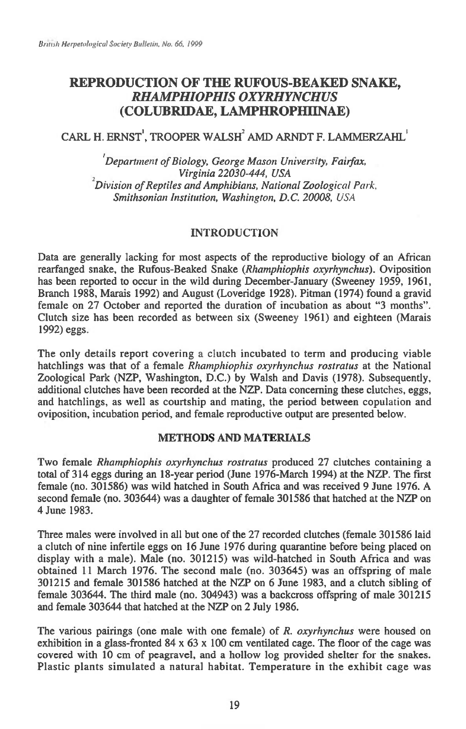## **REPRODUCTION OF THE RUFOUS-BEAKED SNAKE,**  *RHAMPHIOPHIS OXYRHYNCHUS*  **(COLUBRIDAE, LAMPHROPHUNAE)**

# CARL H. ERNST', TROOPER WALSH' AMD ARNDT F. LAMMERZAHL'

*'Department of Biology, George Mason University, Fairfax, Virginia 22030-444, USA 2Division of Reptiles and Amphibians, National Zoological Park, Smithsonian Institution, Washington, D.C. 20008, USA* 

## INTRODUCTION

Data are generally lacking for most aspects of the reproductive biology of an African rearfanged snake, the Rufous-Beaked Snake *(Rhamphiophis oxyrhynchus).* Oviposition has been reported to occur in the wild during December-January (Sweeney 1959, 1961, Branch 1988, Marais 1992) and August (Loveridge 1928). Pitman (1974) found a gravid female on 27 October and reported the duration of incubation as about "3 months". Clutch size has been recorded as between six (Sweeney 1961) and eighteen (Marais 1992) eggs.

The only details report covering a clutch incubated to term and producing viable hatchlings was that of a female *Rhamphiophis oxyrhynchus rostratus* at the National Zoological Park (NZP, Washington, D.C.) by Walsh and Davis (1978). Subsequently, additional clutches have been recorded at the NZP. Data concerning these clutches, eggs, and hatchlings, as well as courtship and mating, the period between copulation and oviposition, incubation period, and female reproductive output are presented below.

### **METHODS AND MATERIALS**

Two female *Rhamphiophis oxyrhynchus rostratus* produced 27 clutches containing a total of 314 eggs during an 18-year period (June 1976-March 1994) at the NZP. The first female (no. 301586) was wild hatched in South Africa and was received 9 June 1976. A second female (no. 303644) was a daughter of female 301586 that hatched at the NZP on 4 June 1983.

Three males were involved in all but one of the 27 recorded clutches (female 301586 laid a clutch of nine infertile eggs on 16 June 1976 during quarantine before being placed on display with a male). Male (no. 301215) was wild-hatched in South Africa and was obtained 11 March 1976. The second male (no. 303645) was an offspring of male 301215 and female 301586 hatched at the NZP on 6 June 1983, and a clutch sibling of female 303644. The third male (no. 304943) was a backcross offspring of male 301215 and female 303644 that hatched at the NZP on 2 July 1986.

The various pairings (one male with one female) of *R. oxyrhynchus* were housed on exhibition in a glass-fronted  $84 \times 63 \times 100$  cm ventilated cage. The floor of the cage was covered with 10 cm of peagravel, and a hollow log provided shelter for the snakes. Plastic plants simulated a natural habitat. Temperature in the exhibit cage was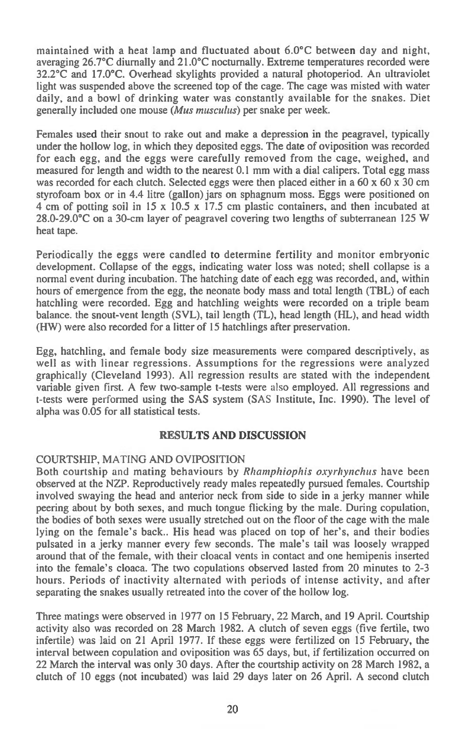maintained with a heat lamp and fluctuated about 6.0°C between day and night, averaging 26.7°C diurnally and 21.0°C nocturnally. Extreme temperatures recorded were 32.2°C and 17.0°C. Overhead skylights provided a natural photoperiod. An ultraviolet light was suspended above the screened top of the cage. The cage was misted with water daily, and a bowl of drinking water was constantly available for the snakes. Diet generally included one mouse *(Mus musculus)* per snake per week.

Females used their snout to rake out and make a depression in the peagravel, typically under the hollow log, in which they deposited eggs. The date of oviposition was recorded for each egg, and the eggs were carefully removed from the cage, weighed, and measured for length and width to the nearest 0.1 mm with a dial calipers. Total egg mass was recorded for each clutch. Selected eggs were then placed either in a 60 x 60 x 30 cm styrofoam box or in 4.4 litre (gallon) jars on sphagnum moss. Eggs were positioned on 4 cm of potting soil in 15 x 10.5 x 17.5 cm plastic containers, and then incubated at 28.0-29.0°C on a 30-cm layer of peagravel covering two lengths of subterranean 125 W heat tape.

Periodically the eggs were candled to determine fertility and monitor embryonic development. Collapse of the eggs, indicating water loss was noted; shell collapse is a normal event during incubation. The hatching date of each egg was recorded, and, within hours of emergence from the egg, the neonate body mass and total length (TBL) of each hatchling were recorded. Egg and hatchling weights were recorded on a triple beam balance. the snout-vent length (SVL), tail length (TL), head length (HL), and head width (HW) were also recorded for a litter of 15 hatchlings after preservation.

Egg, hatchling, and female body size measurements were compared descriptively, as well as with linear regressions. Assumptions for the regressions were analyzed graphically (Cleveland 1993). All regression results are stated with the independent variable given first. A few two-sample t-tests were also employed. All regressions and t-tests were performed using the SAS system (SAS Institute, Inc. 1990). The level of alpha was 0.05 for all statistical tests.

### **RESULTS AND DISCUSSION**

## COURTSHIP, MATING AND OVIPOSITION

Both courtship and mating behaviours by *Rhamphiophis oxyrhynchus* have been observed at the NZP. Reproductively ready males repeatedly pursued females. Courtship involved swaying the head and anterior neck from side to side in a jerky manner while peering about by both sexes, and much tongue flicking by the male. During copulation, the bodies of both sexes were usually stretched out on the floor of the cage with the male lying on the female's back.. His head was placed on top of her's, and their bodies pulsated in a jerky manner every few seconds. The male's tail was loosely wrapped around that of the female, with their cloacal vents in contact and one hemipenis inserted into the female's cloaca. The two copulations observed lasted from 20 minutes to 2-3 hours. Periods of inactivity alternated with periods of intense activity, and after separating the snakes usually retreated into the cover of the hollow log.

Three matings were observed in 1977 on 15 February, 22 March, and 19 April. Courtship activity also was recorded on 28 March 1982. A clutch of seven eggs (five fertile, two infertile) was laid on 21 April 1977. If these eggs were fertilized on 15 February, the interval between copulation and oviposition was 65 days, but, if fertilization occurred on 22 March the interval was only 30 days. After the courtship activity on 28 March 1982, a clutch of 10 eggs (not incubated) was laid 29 days later on 26 April. A second clutch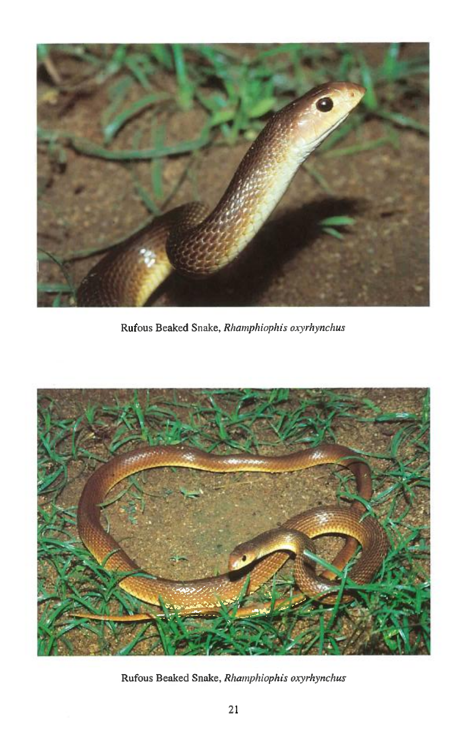

Rufous Beaked Snake, *Rhamphiophis oxyrhynchus* 



Rufous Beaked Snake, *Rhamphiophis oxyrhynchus*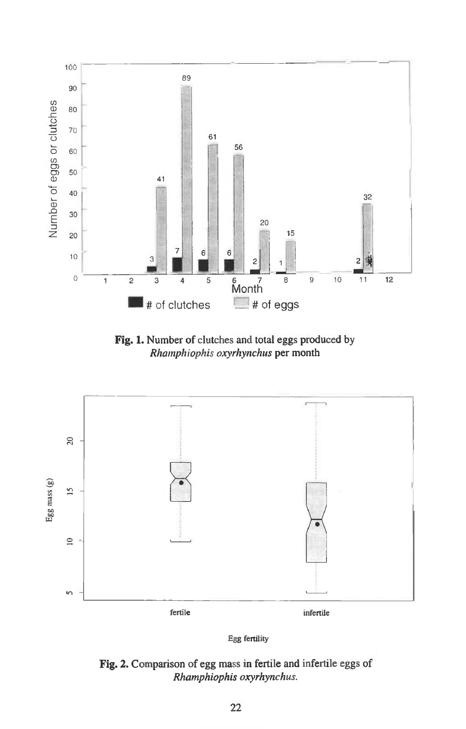

**Fig. 1.** Number of clutches and total eggs produced by *Rhamphiophis oxyrhynchus* per month





**Fig. 2.** Comparison of egg mass in fertile and infertile eggs of *Rhamphiophis oxyrhynchus.*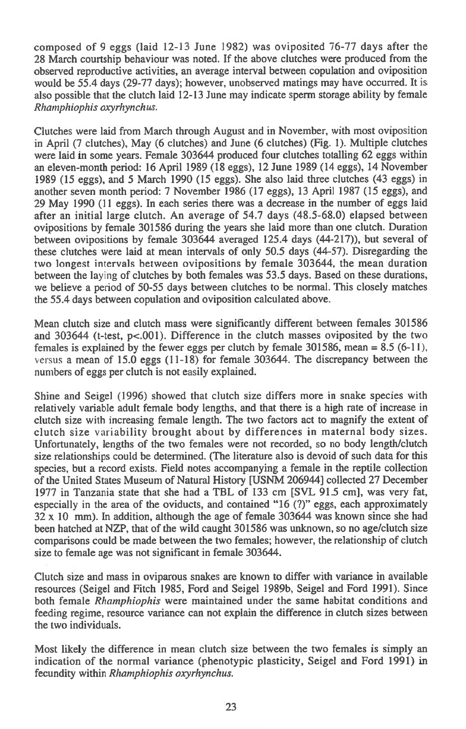composed of 9 eggs (laid 12-13 June 1982) was oviposited 76-77 days after the 28 March courtship behaviour was noted. If the above clutches were produced from the observed reproductive activities, an average interval between copulation and oviposition would be 55.4 days (29-77 days); however, unobserved matings may have occurred. It is also possible that the clutch laid 12-13 June may indicate sperm storage ability by female Rhamphiophis oxyrhynchus.

Clutches were laid from March through August and in November, with most oviposition in April (7 clutches), May (6 clutches) and June (6 clutches) (Fig. 1). Multiple clutches were laid in some years. Female 303644 produced four clutches totalling 62 eggs within an eleven-month period: 16 April 1989 (18 eggs), 12 June 1989 (14 eggs), 14 November 1989 (15 eggs), and 5 March 1990 (15 eggs). She also laid three clutches (43 eggs) in another seven month period: 7 November 1986 (17 eggs), 13 April 1987 (15 eggs), and 29 May 1990 (11 eggs). In each series there was a decrease in the number of eggs laid after an initial large clutch. An average of 54.7 days (48.5-68.0) elapsed between ovipositions by female 301586 during the years she laid more than one clutch. Duration between ovipositions by female 303644 averaged 125.4 days (44-217)), but several of these clutches were laid at mean intervals of only 50.5 days (44-57). Disregarding the two longest intervals between ovipositions by female 303644, the mean duration between the laying of clutches by both females was 53.5 days. Based on these durations, we believe a period of 50-55 days between clutches to be normal. This closely matches the 55.4 days between copulation and oviposition calculated above.

Mean clutch size and clutch mass were significantly different between females 301586 and 303644 (t-test, p<.001). Difference in the clutch masses oviposited by the two females is explained by the fewer eggs per clutch by female  $301586$ , mean =  $8.5$  (6-11), versus a mean of  $15.0$  eggs  $(11-18)$  for female 303644. The discrepancy between the numbers of eggs per clutch is not easily explained.

Shine and Seigel (1996) showed that clutch size differs more in snake species with relatively variable adult female body lengths, and that there is a high rate of increase in clutch size with increasing female length. The two factors act to magnify the extent of clutch size variability brought about by differences in maternal body sizes. Unfortunately, lengths of the two females were not recorded, so no body length/clutch size relationships could be determined. (The literature also is devoid of such data for this species, but a record exists. Field notes accompanying a female in the reptile collection of the United States Museum of Natural History [USNM 206944] collected 27 December 1977 in Tanzania state that she had a TBL of 133 cm [SVL 91.5 cm], was very fat, especially in the area of the oviducts, and contained "16 (?)" eggs, each approximately 32 x 10 mm). In addition, although the age of female 303644 was known since she had been hatched at NZP, that of the wild caught 301586 was unknown, so no age/clutch size comparisons could be made between the two females; however, the relationship of clutch size to female age was not significant in female 303644.

Clutch size and mass in oviparous snakes are known to differ with variance in available resources (Seigel and Fitch 1985, Ford and Seigel 1989b, Seigel and Ford 1991). Since both female Rhamphiophis were maintained under the same habitat conditions and feeding regime, resource variance can not explain the difference in clutch sizes between the two individuals.

Most likely the difference in mean clutch size between the two females is simply an indication of the normal variance (phenotypic plasticity, Seigel and Ford 1991) in fecundity within Rhamphiophis oxyrhynchus.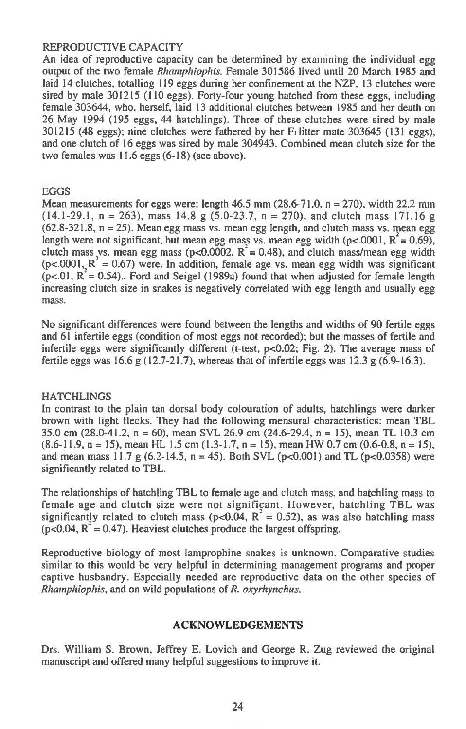### REPRODUCTIVE CAPACITY

An idea of reproductive capacity can be determined by examining the individual egg output of the two female *Rhamphiophis.* Female 301586 lived until 20 March 1985 and laid 14 clutches, totalling 119 eggs during her confinement at the NZP, 13 clutches were sired by male 301215 (110 eggs). Forty-four young hatched from these eggs, including female 303644, who, herself, laid 13 additional clutches between 1985 and her death on 26 May 1994 (195 eggs, 44 hatchlings). Three of these clutches were sired by male 301215 (48 eggs); nine clutches were fathered by her Fi litter mate 303645 (131 eggs), and one clutch of 16 eggs was sired by male 304943. Combined mean clutch size for the two females was 11.6 eggs (6-18) (see above).

#### EGGS

Mean measurements for eggs were: length  $46.5$  mm  $(28.6-71.0, n = 270)$ , width  $22.2$  mm  $(14.1-29.1, n = 263)$ , mass 14.8 g  $(5.0-23.7, n = 270)$ , and clutch mass 171.16 g  $(62.8-321.8, n = 25)$ . Mean egg mass vs. mean egg length, and clutch mass vs. mean egg length were not significant, but mean egg mass vs. mean egg width ( $p < .0001$ ,  $R = 0.69$ ), clutch mass vs. mean egg mass ( $p<0.0002$ ,  $R = 0.48$ ), and clutch mass/mean egg width  $(p<.0001, R<sup>2</sup> = 0.67)$  were. In addition, female age vs. mean egg width was significant  $(p<.01, R<sup>2</sup> = 0.54)$ .. Ford and Seigel (1989a) found that when adjusted for female length increasing clutch size in snakes is negatively correlated with egg length and usually egg mass.

No significant differences were found between the lengths and widths of 90 fertile eggs and 61 infertile eggs (condition of most eggs not recorded); but the masses of fertile and infertile eggs were significantly different (t-test,  $p<0.02$ ; Fig. 2). The average mass of fertile eggs was 16.6 g (12.7-21.7), whereas that of infertile eggs was 12.3 g (6.9-16.3).

#### **HATCHLINGS**

In contrast to the plain tan dorsal body colouration of adults, hatchlings were darker brown with light flecks. They had the following mensural characteristics: mean TBL 35.0 cm (28.0-41.2, n = 60), mean SVL 26.9 cm (24.6-29.4, n = 15), mean TL 10.3 cm  $(8.6-11.9, n = 15)$ , mean HL 1.5 cm  $(1.3-1.7, n = 15)$ , mean HW 0.7 cm  $(0.6-0.8, n = 15)$ , and mean mass 11.7 g  $(6.2-14.5, n = 45)$ . Both SVL  $(p<0.001)$  and TL  $(p<0.0358)$  were significantly related to TBL.

The relationships of hatchling **TBL** to female age and clutch mass, and hatchling mass to female age and clutch size were not significant. However, hatchling TBL was significantly related to clutch mass ( $p<0.04$ ,  $R^2 = 0.52$ ), as was also hatchling mass  $(p<0.04, R<sup>2</sup> = 0.47)$ . Heaviest clutches produce the largest offspring.

Reproductive biology of most lamprophine snakes is unknown. Comparative studies similar to this would be very helpful in determining management programs and proper captive husbandry. Especially needed are reproductive data on the other species of *Rhamphiophis,* and on wild populations of *R. oxyrhynchus.* 

#### **ACKNOWLEDGEMENTS**

Drs. William S. Brown, Jeffrey E. Lovich and George R. Zug reviewed the original manuscript and offered many helpful suggestions to improve it.